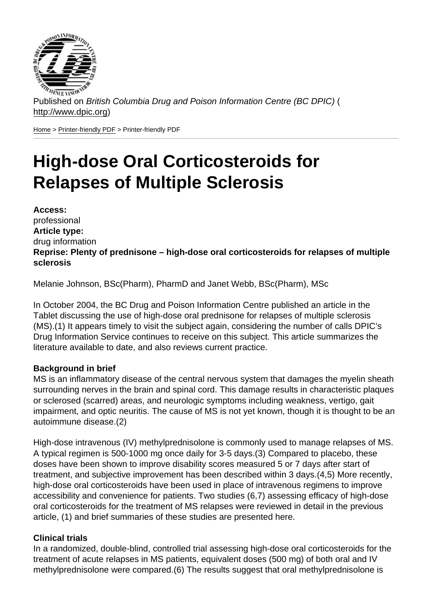Published on British Columbia Drug and Poison Information Centre (BC DPIC) ( http://www.dpic.org)

Home > Printer-friendly PDF > Printer-friendly PDF

# [Hi](http://www.dpic.org/)[gh-dose](http://www.dpic.org/printpdf) Oral Corticosteroids for Relapses of Multiple Sclerosis

Access: professional Article type: drug information Reprise: Plenty of prednisone – high-dose oral corticosteroids for relapses of multiple sclerosis

Melanie Johnson, BSc(Pharm), PharmD and Janet Webb, BSc(Pharm), MSc

In October 2004, the BC Drug and Poison Information Centre published an article in the Tablet discussing the use of high-dose oral prednisone for relapses of multiple sclerosis (MS).(1) It appears timely to visit the subject again, considering the number of calls DPIC's Drug Information Service continues to receive on this subject. This article summarizes the literature available to date, and also reviews current practice.

#### Background in brief

MS is an inflammatory disease of the central nervous system that damages the myelin sheath surrounding nerves in the brain and spinal cord. This damage results in characteristic plaques or sclerosed (scarred) areas, and neurologic symptoms including weakness, vertigo, gait impairment, and optic neuritis. The cause of MS is not yet known, though it is thought to be an autoimmune disease.(2)

High-dose intravenous (IV) methylprednisolone is commonly used to manage relapses of MS. A typical regimen is 500-1000 mg once daily for 3-5 days.(3) Compared to placebo, these doses have been shown to improve disability scores measured 5 or 7 days after start of treatment, and subjective improvement has been described within 3 days.(4,5) More recently, high-dose oral corticosteroids have been used in place of intravenous regimens to improve accessibility and convenience for patients. Two studies (6,7) assessing efficacy of high-dose oral corticosteroids for the treatment of MS relapses were reviewed in detail in the previous article, (1) and brief summaries of these studies are presented here.

#### Clinical trials

In a randomized, double-blind, controlled trial assessing high-dose oral corticosteroids for the treatment of acute relapses in MS patients, equivalent doses (500 mg) of both oral and IV methylprednisolone were compared.(6) The results suggest that oral methylprednisolone is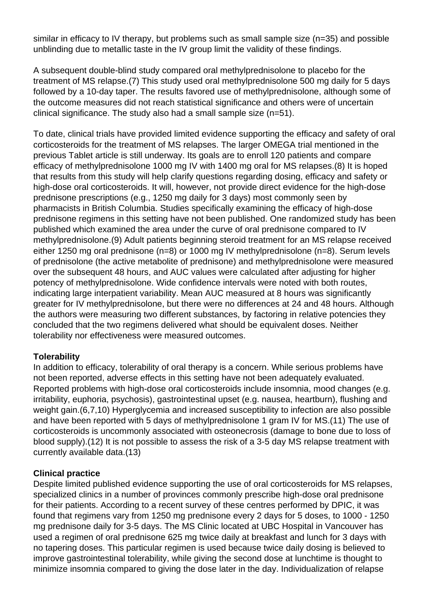similar in efficacy to IV therapy, but problems such as small sample size (n=35) and possible unblinding due to metallic taste in the IV group limit the validity of these findings.

A subsequent double-blind study compared oral methylprednisolone to placebo for the treatment of MS relapse.(7) This study used oral methylprednisolone 500 mg daily for 5 days followed by a 10-day taper. The results favored use of methylprednisolone, although some of the outcome measures did not reach statistical significance and others were of uncertain clinical significance. The study also had a small sample size (n=51).

To date, clinical trials have provided limited evidence supporting the efficacy and safety of oral corticosteroids for the treatment of MS relapses. The larger OMEGA trial mentioned in the previous Tablet article is still underway. Its goals are to enroll 120 patients and compare efficacy of methylprednisolone 1000 mg IV with 1400 mg oral for MS relapses.(8) It is hoped that results from this study will help clarify questions regarding dosing, efficacy and safety or high-dose oral corticosteroids. It will, however, not provide direct evidence for the high-dose prednisone prescriptions (e.g., 1250 mg daily for 3 days) most commonly seen by pharmacists in British Columbia. Studies specifically examining the efficacy of high-dose prednisone regimens in this setting have not been published. One randomized study has been published which examined the area under the curve of oral prednisone compared to IV methylprednisolone.(9) Adult patients beginning steroid treatment for an MS relapse received either 1250 mg oral prednisone (n=8) or 1000 mg IV methylprednisolone (n=8). Serum levels of prednisolone (the active metabolite of prednisone) and methylprednisolone were measured over the subsequent 48 hours, and AUC values were calculated after adjusting for higher potency of methylprednisolone. Wide confidence intervals were noted with both routes, indicating large interpatient variability. Mean AUC measured at 8 hours was significantly greater for IV methylprednisolone, but there were no differences at 24 and 48 hours. Although the authors were measuring two different substances, by factoring in relative potencies they concluded that the two regimens delivered what should be equivalent doses. Neither tolerability nor effectiveness were measured outcomes.

### **Tolerability**

In addition to efficacy, tolerability of oral therapy is a concern. While serious problems have not been reported, adverse effects in this setting have not been adequately evaluated. Reported problems with high-dose oral corticosteroids include insomnia, mood changes (e.g. irritability, euphoria, psychosis), gastrointestinal upset (e.g. nausea, heartburn), flushing and weight gain.(6,7,10) Hyperglycemia and increased susceptibility to infection are also possible and have been reported with 5 days of methylprednisolone 1 gram IV for MS.(11) The use of corticosteroids is uncommonly associated with osteonecrosis (damage to bone due to loss of blood supply).(12) It is not possible to assess the risk of a 3-5 day MS relapse treatment with currently available data.(13)

#### **Clinical practice**

Despite limited published evidence supporting the use of oral corticosteroids for MS relapses, specialized clinics in a number of provinces commonly prescribe high-dose oral prednisone for their patients. According to a recent survey of these centres performed by DPIC, it was found that regimens vary from 1250 mg prednisone every 2 days for 5 doses, to 1000 - 1250 mg prednisone daily for 3-5 days. The MS Clinic located at UBC Hospital in Vancouver has used a regimen of oral prednisone 625 mg twice daily at breakfast and lunch for 3 days with no tapering doses. This particular regimen is used because twice daily dosing is believed to improve gastrointestinal tolerability, while giving the second dose at lunchtime is thought to minimize insomnia compared to giving the dose later in the day. Individualization of relapse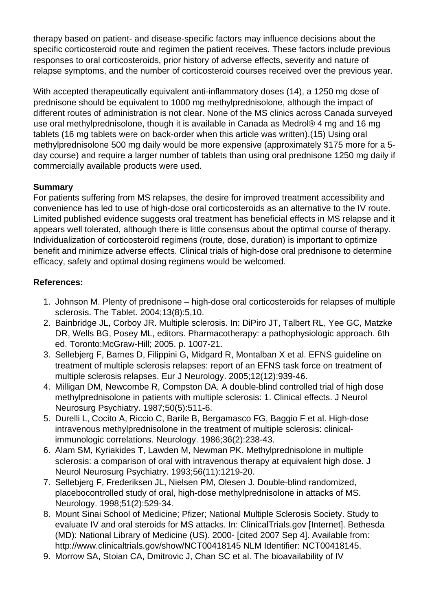therapy based on patient- and disease-specific factors may influence decisions about the specific corticosteroid route and regimen the patient receives. These factors include previous responses to oral corticosteroids, prior history of adverse effects, severity and nature of relapse symptoms, and the number of corticosteroid courses received over the previous year.

With accepted therapeutically equivalent anti-inflammatory doses (14), a 1250 mg dose of prednisone should be equivalent to 1000 mg methylprednisolone, although the impact of different routes of administration is not clear. None of the MS clinics across Canada surveyed use oral methylprednisolone, though it is available in Canada as Medrol® 4 mg and 16 mg tablets (16 mg tablets were on back-order when this article was written).(15) Using oral methylprednisolone 500 mg daily would be more expensive (approximately \$175 more for a 5 day course) and require a larger number of tablets than using oral prednisone 1250 mg daily if commercially available products were used.

# **Summary**

For patients suffering from MS relapses, the desire for improved treatment accessibility and convenience has led to use of high-dose oral corticosteroids as an alternative to the IV route. Limited published evidence suggests oral treatment has beneficial effects in MS relapse and it appears well tolerated, although there is little consensus about the optimal course of therapy. Individualization of corticosteroid regimens (route, dose, duration) is important to optimize benefit and minimize adverse effects. Clinical trials of high-dose oral prednisone to determine efficacy, safety and optimal dosing regimens would be welcomed.

# **References:**

- 1. Johnson M. Plenty of prednisone high-dose oral corticosteroids for relapses of multiple sclerosis. The Tablet. 2004;13(8):5,10.
- 2. Bainbridge JL, Corboy JR. Multiple sclerosis. In: DiPiro JT, Talbert RL, Yee GC, Matzke DR, Wells BG, Posey ML, editors. Pharmacotherapy: a pathophysiologic approach. 6th ed. Toronto:McGraw-Hill; 2005. p. 1007-21.
- 3. Sellebjerg F, Barnes D, Filippini G, Midgard R, Montalban X et al. EFNS guideline on treatment of multiple sclerosis relapses: report of an EFNS task force on treatment of multiple sclerosis relapses. Eur J Neurology. 2005;12(12):939-46.
- 4. Milligan DM, Newcombe R, Compston DA. A double-blind controlled trial of high dose methylprednisolone in patients with multiple sclerosis: 1. Clinical effects. J Neurol Neurosurg Psychiatry. 1987;50(5):511-6.
- 5. Durelli L, Cocito A, Riccio C, Barile B, Bergamasco FG, Baggio F et al. High-dose intravenous methylprednisolone in the treatment of multiple sclerosis: clinicalimmunologic correlations. Neurology. 1986;36(2):238-43.
- 6. Alam SM, Kyriakides T, Lawden M, Newman PK. Methylprednisolone in multiple sclerosis: a comparison of oral with intravenous therapy at equivalent high dose. J Neurol Neurosurg Psychiatry. 1993;56(11):1219-20.
- 7. Sellebjerg F, Frederiksen JL, Nielsen PM, Olesen J. Double-blind randomized, placebocontrolled study of oral, high-dose methylprednisolone in attacks of MS. Neurology. 1998;51(2):529-34.
- 8. Mount Sinai School of Medicine; Pfizer; National Multiple Sclerosis Society. Study to evaluate IV and oral steroids for MS attacks. In: ClinicalTrials.gov [Internet]. Bethesda (MD): National Library of Medicine (US). 2000- [cited 2007 Sep 4]. Available from: http://www.clinicaltrials.gov/show/NCT00418145 NLM Identifier: NCT00418145.
- 9. Morrow SA, Stoian CA, Dmitrovic J, Chan SC et al. The bioavailability of IV